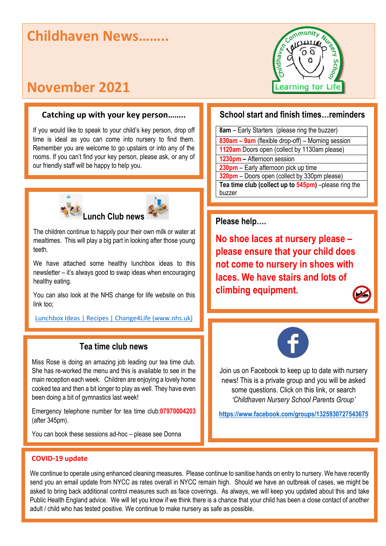# **Childhaven News……..**

# **November 2021**

### **Catching up with your key person……..**

If you would like to speak to your child's key person, drop off time is ideal as you can come into nursery to find them. Remember you are welcome to go upstairs or into any of the rooms. If you can't find your key person, please ask, or any of our friendly staff will be happy to help you.





The children continue to happily pour their own milk or water at mealtimes. This will play a big part in looking after those young teeth.

We have attached some healthy lunchbox ideas to this newsletter – it's always good to swap ideas when encouraging healthy eating.

You can also look at the NHS change for life website on this link too;

Lunchbox [Ideas | Recipes | Change4Life \(www.nhs.uk\)](https://www.nhs.uk/change4life/recipes/healthier-lunchboxes)

### **Tea time club news**

Miss Rose is doing an amazing job leading our tea time club. She has re-worked the menu and this is available to see in the main reception each week. Children are enjoying a lovely home cooked tea and then a bit longer to play as well. They have even been doing a bit of gymnastics last week!

Emergency telephone number for tea time club:**07970004203** (after 345pm).

You can book these sessions ad-hoc – please see Donna



### **School start and finish times…reminders**

**8am** – Early Starters (please ring the buzzer) **830am – 9am** (flexible drop-off) – Morning session **1120am** Doors open (collect by 1130am please) **1230pm –** Afternoon session **230pm** – Early afternoon pick up time **320pm** – Doors open (collect by 330pm please) **Tea time club (collect up to 545pm)** –please ring the buzzer

**Please help….**

**No shoe laces at nursery please – please ensure that your child does not come to nursery in shoes with laces. We have stairs and lots of climbing equipment.**



Join us on Facebook to keep up to date with nursery news! This is a private group and you will be asked some questions. Click on this link, or search *'Childhaven Nursery School Parents Group'*

**<https://www.facebook.com/groups/1325930727543675>**

#### **COVID-19 update**

We continue to operate using enhanced cleaning measures. Please continue to sanitise hands on entry to nursery. We have recently send you an email update from NYCC as rates overall in NYCC remain high. Should we have an outbreak of cases, we might be asked to bring back additional control measures such as face coverings. As always, we will keep you updated about this and take Public Health England advice. We will let you know if we think there is a chance that your child has been a close contact of another adult / child who has tested positive. We continue to make nursery as safe as possible.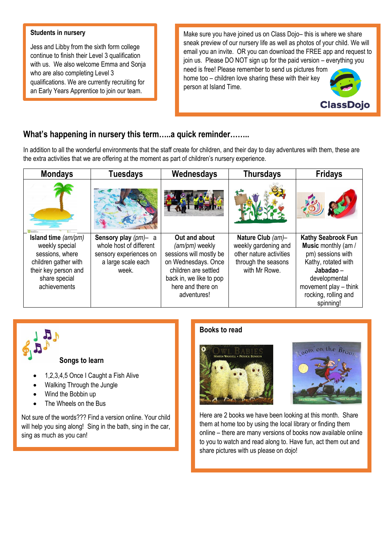## **Students in nursery**

 $\blacksquare$  Jess and Libby from the sixth form college continue to finish their Level 3 qualification who are also completing Level 3 with us. We also welcome Emma and Sonja qualifications. We are currently recruiting for an Early Years Apprentice to join our team.

Make sure you have joined us on Class Dojo– this is where we share sneak preview of our nursery life as well as photos of your child. We will email you an invite. OR you can download the FREE app and request to join us. Please DO NOT sign up for the paid version – everything you

need is free! Please remember to send us pictures from home too – children love sharing these with their key person at Island Time.



## **What's happening in nursery this term…..a quick reminder……..**

In addition to all the wonderful environments that the staff create for children, and their day to day adventures with them, these are the extra activities that we are offering at the moment as part of children's nursery experience.

| <b>Mondays</b>                                                                                                                            | <b>Tuesdays</b>                                                                                             | Wednesdays                                                                                                                                                               | <b>Thursdays</b>                                                                                             | <b>Fridays</b>                                                                                                                                                                    |
|-------------------------------------------------------------------------------------------------------------------------------------------|-------------------------------------------------------------------------------------------------------------|--------------------------------------------------------------------------------------------------------------------------------------------------------------------------|--------------------------------------------------------------------------------------------------------------|-----------------------------------------------------------------------------------------------------------------------------------------------------------------------------------|
|                                                                                                                                           |                                                                                                             |                                                                                                                                                                          |                                                                                                              |                                                                                                                                                                                   |
| Island time (am/pm)<br>weekly special<br>sessions, where<br>children gather with<br>their key person and<br>share special<br>achievements | Sensory play $(pm)$ - a<br>whole host of different<br>sensory experiences on<br>a large scale each<br>week. | Out and about<br>(am/pm) weekly<br>sessions will mostly be<br>on Wednesdays. Once<br>children are settled<br>back in, we like to pop<br>here and there on<br>adventures! | Nature Club (am)-<br>weekly gardening and<br>other nature activities<br>through the seasons<br>with Mr Rowe. | Kathy Seabrook Fun<br>Music monthly (am /<br>pm) sessions with<br>Kathy, rotated with<br>Jabadao –<br>developmental<br>movement play - think<br>rocking, rolling and<br>spinning! |



- Wind the Bobbin up
- The Wheels on the Bus

Not sure of the words??? Find a version online. Your child will help you sing along! Sing in the bath, sing in the car, sing as much as you can!

### **Books to read**





Here are 2 books we have been looking at this month. Share them at home too by using the local library or finding them online – there are many versions of books now available online to you to watch and read along to. Have fun, act them out and share pictures with us please on dojo!